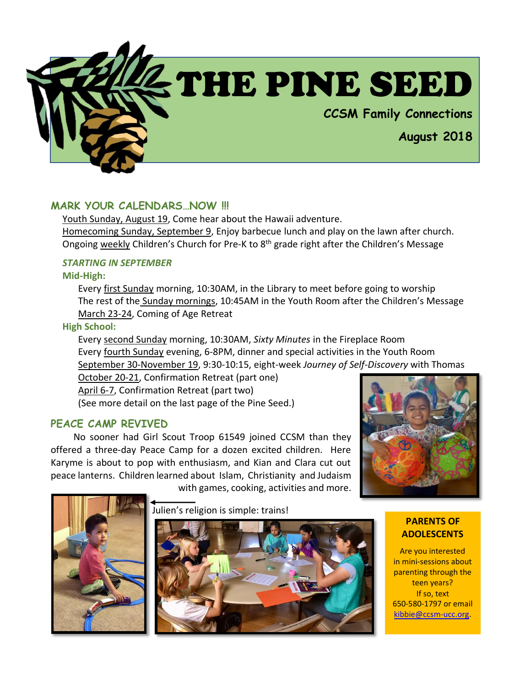

# **MARK YOUR CALENDARS…NOW !!!**

Youth Sunday, August 19, Come hear about the Hawaii adventure. Homecoming Sunday, September 9, Enjoy barbecue lunch and play on the lawn after church. Ongoing weekly Children's Church for Pre-K to 8<sup>th</sup> grade right after the Children's Message

# *STARTING IN SEPTEMBER*

**Mid-High:**

Every first Sunday morning, 10:30AM, in the Library to meet before going to worship The rest of the Sunday mornings, 10:45AM in the Youth Room after the Children's Message March 23-24, Coming of Age Retreat

**High School:**

Every second Sunday morning, 10:30AM, *Sixty Minutes* in the Fireplace Room Every fourth Sunday evening, 6-8PM, dinner and special activities in the Youth Room September 30-November 19, 9:30-10:15, eight-week *Journey of Self-Discovery* with Thomas

October 20-21, Confirmation Retreat (part one) April 6-7, Confirmation Retreat (part two) (See more detail on the last page of the Pine Seed.)

# **PEACE CAMP REVIVED**

No sooner had Girl Scout Troop 61549 joined CCSM than they offered a three-day Peace Camp for a dozen excited children. Here Karyme is about to pop with enthusiasm, and Kian and Clara cut out peace lanterns. Children learned about Islam, Christianity and Judaism with games, cooking, activities and more.





Julien's religion is simple: trains!



**PARENTS OF ADOLESCENTS**

Are you interested in mini-sessions about parenting through the teen years? If so, text 650-580-1797 or email [kibbie@ccsm-ucc.org.](mailto:kibbie@ccsm-ucc.org)